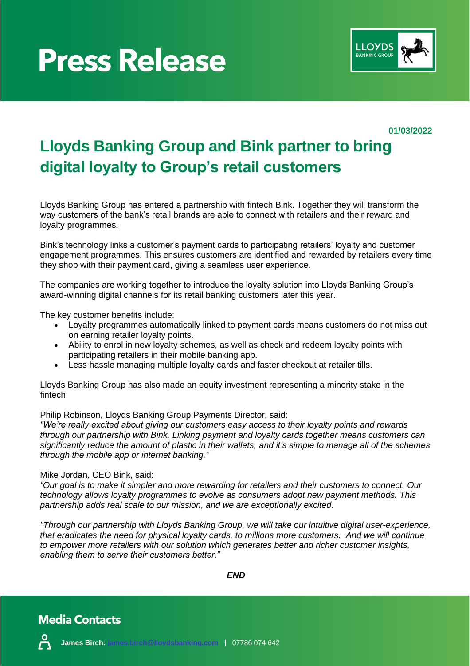



**01/03/2022**

# **Lloyds Banking Group and Bink partner to bring digital loyalty to Group's retail customers**

Lloyds Banking Group has entered a partnership with fintech Bink. Together they will transform the way customers of the bank's retail brands are able to connect with retailers and their reward and loyalty programmes.

Bink's technology links a customer's payment cards to participating retailers' loyalty and customer engagement programmes. This ensures customers are identified and rewarded by retailers every time they shop with their payment card, giving a seamless user experience.

The companies are working together to introduce the loyalty solution into Lloyds Banking Group's award-winning digital channels for its retail banking customers later this year.

The key customer benefits include:

- Loyalty programmes automatically linked to payment cards means customers do not miss out on earning retailer loyalty points.
- Ability to enrol in new loyalty schemes, as well as check and redeem loyalty points with participating retailers in their mobile banking app.
- Less hassle managing multiple loyalty cards and faster checkout at retailer tills.

Lloyds Banking Group has also made an equity investment representing a minority stake in the fintech.

Philip Robinson, Lloyds Banking Group Payments Director, said:

*"We're really excited about giving our customers easy access to their loyalty points and rewards through our partnership with Bink. Linking payment and loyalty cards together means customers can significantly reduce the amount of plastic in their wallets, and it's simple to manage all of the schemes through the mobile app or internet banking."*

### Mike Jordan, CEO Bink, said:

*"Our goal is to make it simpler and more rewarding for retailers and their customers to connect. Our technology allows loyalty programmes to evolve as consumers adopt new payment methods. This partnership adds real scale to our mission, and we are exceptionally excited.*

*"Through our partnership with Lloyds Banking Group, we will take our intuitive digital user-experience, that eradicates the need for physical loyalty cards, to millions more customers. And we will continue to empower more retailers with our solution which generates better and richer customer insights, enabling them to serve their customers better."* 

*END*

### **Media Contacts**